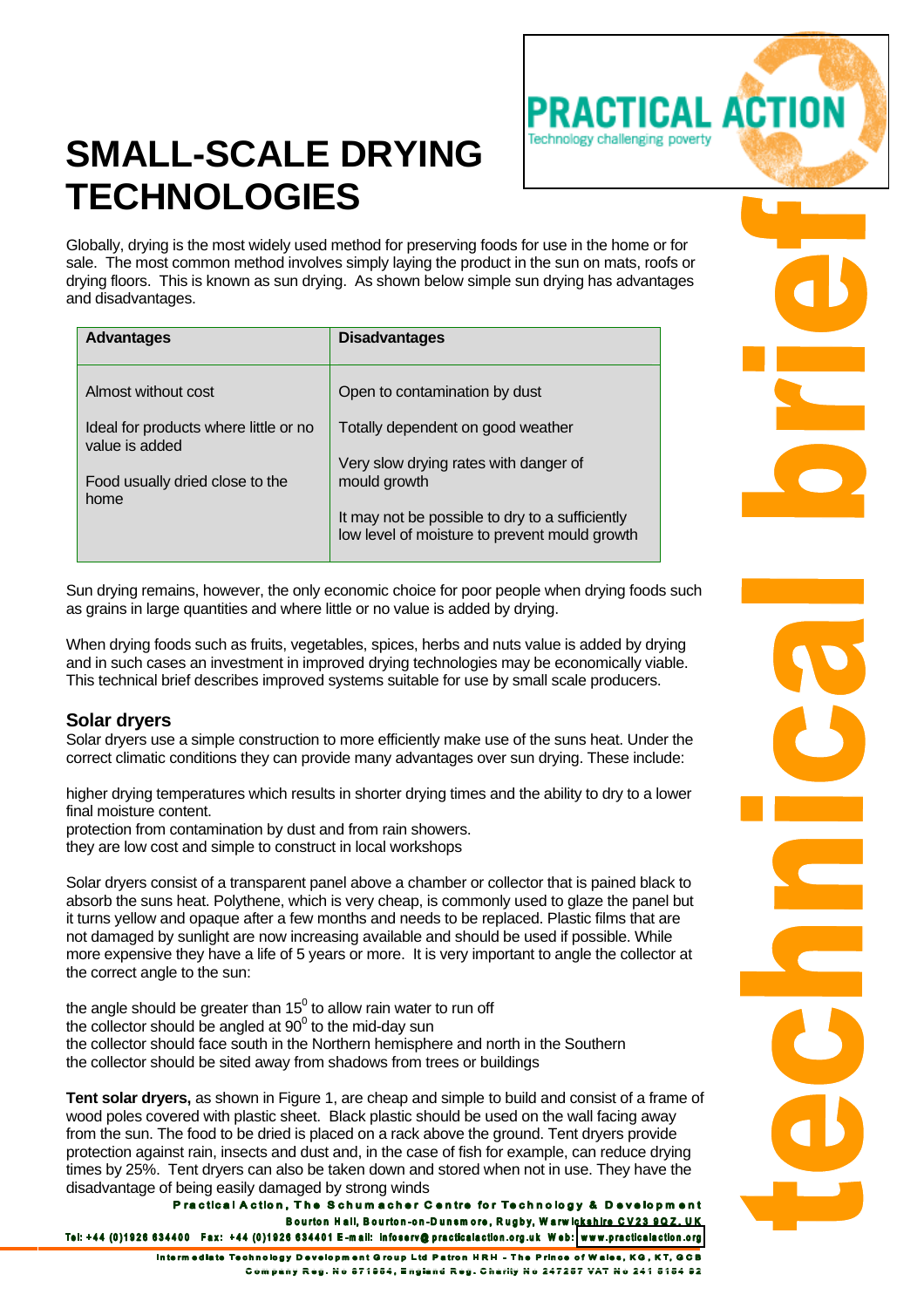

Globally, drying is the most widely used method for preserving foods for use in the home or for sale. The most common method involves simply laying the product in the sun on mats, roofs or drying floors. This is known as sun drying. As shown below simple sun drying has advantages and disadvantages.

Practical action

Technology challenging poverty

| <b>Advantages</b>                                       | <b>Disadvantages</b>                                                                             |
|---------------------------------------------------------|--------------------------------------------------------------------------------------------------|
| Almost without cost                                     | Open to contamination by dust                                                                    |
| Ideal for products where little or no<br>value is added | Totally dependent on good weather                                                                |
| Food usually dried close to the<br>home                 | Very slow drying rates with danger of<br>mould growth                                            |
|                                                         | It may not be possible to dry to a sufficiently<br>low level of moisture to prevent mould growth |

Sun drying remains, however, the only economic choice for poor people when drying foods such as grains in large quantities and where little or no value is added by drying.

When drying foods such as fruits, vegetables, spices, herbs and nuts value is added by drying and in such cases an investment in improved drying technologies may be economically viable. This technical brief describes improved systems suitable for use by small scale producers.

## **Solar dryers**

Solar dryers use a simple construction to more efficiently make use of the suns heat. Under the correct climatic conditions they can provide many advantages over sun drying. These include:

higher drying temperatures which results in shorter drying times and the ability to dry to a lower final moisture content.

protection from contamination by dust and from rain showers.

they are low cost and simple to construct in local workshops

Solar dryers consist of a transparent panel above a chamber or collector that is pained black to absorb the suns heat. Polythene, which is very cheap, is commonly used to glaze the panel but it turns yellow and opaque after a few months and needs to be replaced. Plastic films that are not damaged by sunlight are now increasing available and should be used if possible. While more expensive they have a life of 5 years or more. It is very important to angle the collector at the correct angle to the sun:

the angle should be greater than 15 $^0$  to allow rain water to run off the collector should be angled at  $90^{\circ}$  to the mid-day sun the collector should face south in the Northern hemisphere and north in the Southern the collector should be sited away from shadows from trees or buildings

**Tent solar dryers,** as shown in Figure 1, are cheap and simple to build and consist of a frame of wood poles covered with plastic sheet. Black plastic should be used on the wall facing away from the sun. The food to be dried is placed on a rack above the ground. Tent dryers provide protection against rain, insects and dust and, in the case of fish for example, can reduce drying times by 25%. Tent dryers can also be taken down and stored when not in use. They have the disadvantage of being easily damaged by strong winds<br>Practical Action, The Schumacher Centre for Technology & Development

Bourton Hall, Bourton-on-Dunsmore, Rugby, Warwickshire CV23 9QZ, UK Tel: +44 (0)1926 634400 Fax: +44 (0)1926 634401 E-mail: infoserv@practicalaction.org.uk Web: www.practicalaction.org

Intermediate Technology Development Group Ltd Patron HRH - The Prince of Wales, KG, KT, GCB Company Reg. No 671954, England Reg. Charlty No 247257 VAT No 241 5154 92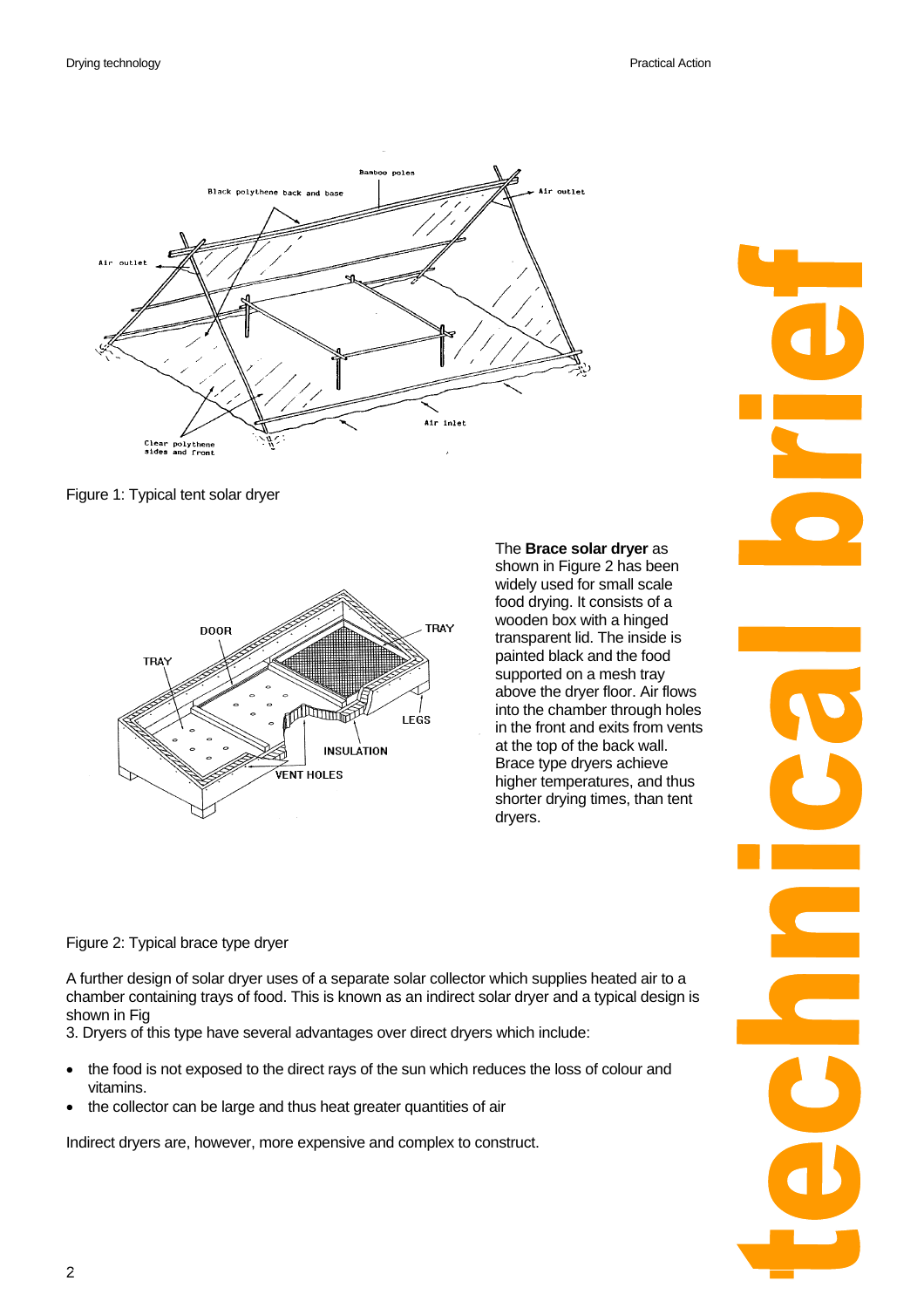

Figure 1: Typical tent solar dryer



The **Brace solar dryer** as

shown in Figure 2 has been widely used for small scale food drying. It consists of a wooden box with a hinged transparent lid. The inside is painted black and the food supported on a mesh tray above the dryer floor. Air flows into the chamber through holes in the front and exits from vents at the top of the back wall. Brace type dryers achieve higher temperatures, and thus shorter drying times, than tent dryers.

Figure 2: Typical brace type dryer

A further design of solar dryer uses of a separate solar collector which supplies heated air to a chamber containing trays of food. This is known as an indirect solar dryer and a typical design is shown in Fig

3. Dryers of this type have several advantages over direct dryers which include:

- the food is not exposed to the direct rays of the sun which reduces the loss of colour and vitamins.
- the collector can be large and thus heat greater quantities of air

Indirect dryers are, however, more expensive and complex to construct.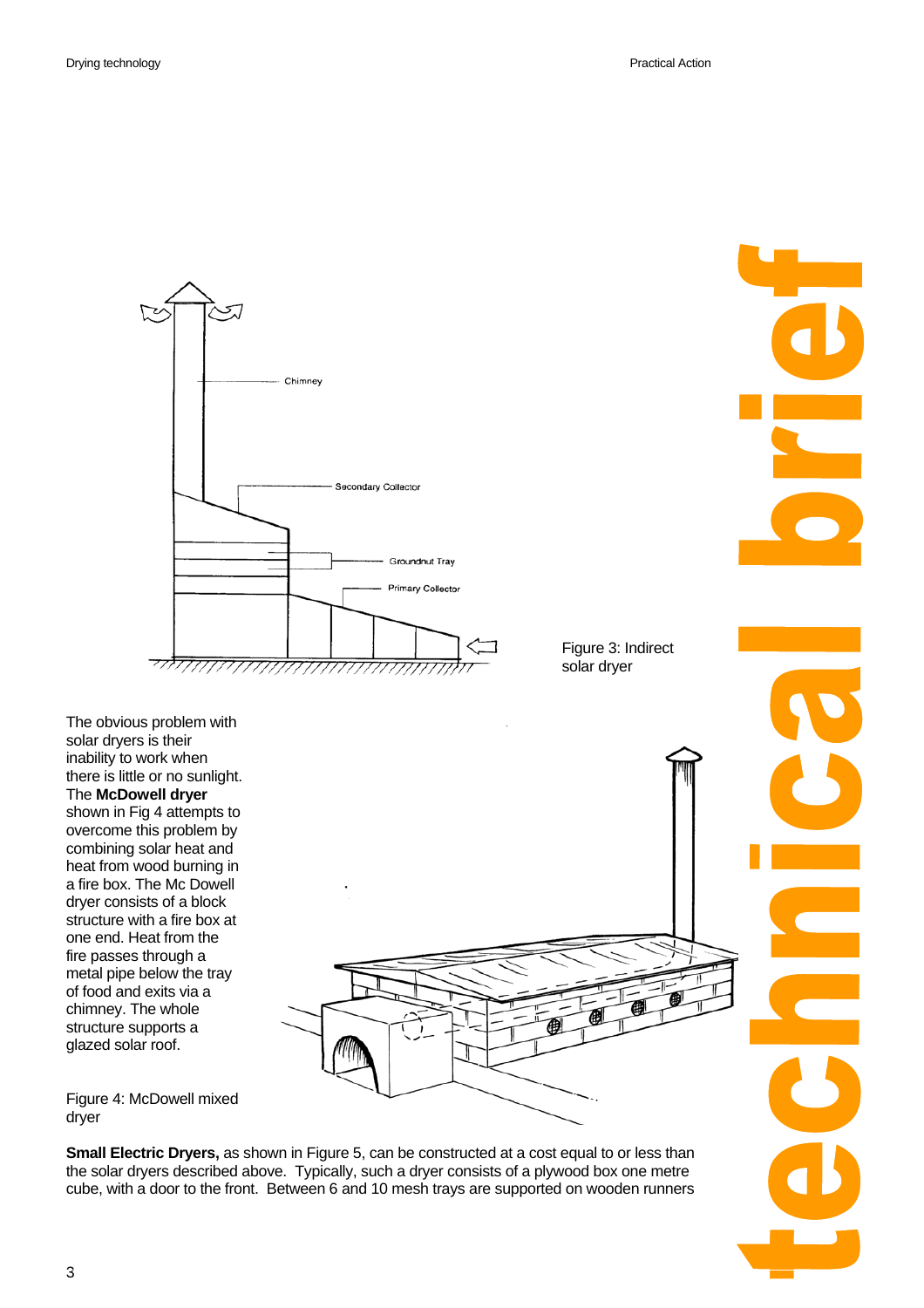

Figure 3: Indirect solar dryer

The obvious problem with solar dryers is their inability to work when there is little or no sunlight. The **McDowell dryer**  shown in Fig 4 attempts to overcome this problem by combining solar heat and heat from wood burning in a fire box. The Mc Dowell dryer consists of a block structure with a fire box at one end. Heat from the fire passes through a metal pipe below the tray of food and exits via a chimney. The whole structure supports a glazed solar roof.



Figure 4: McDowell mixed dryer

**Small Electric Dryers,** as shown in Figure 5, can be constructed at a cost equal to or less than the solar dryers described above. Typically, such a dryer consists of a plywood box one metre cube, with a door to the front. Between 6 and 10 mesh trays are supported on wooden runners